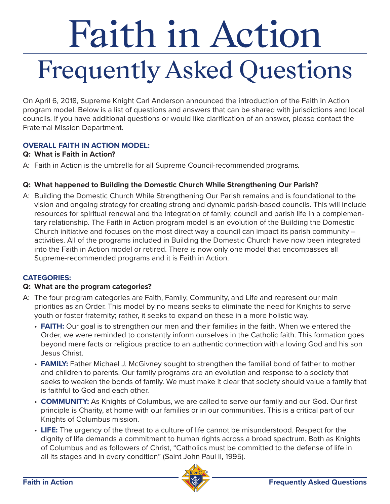# Faith in Action Frequently Asked Questions

On April 6, 2018, Supreme Knight Carl Anderson announced the introduction of the Faith in Action program model. Below is a list of questions and answers that can be shared with jurisdictions and local councils. If you have additional questions or would like clarification of an answer, please contact the Fraternal Mission Department.

# **OVERALL FAITH IN ACTION MODEL:**

# **Q: What is Faith in Action?**

A: Faith in Action is the umbrella for all Supreme Council-recommended programs.

# **Q: What happened to Building the Domestic Church While Strengthening Our Parish?**

A: Building the Domestic Church While Strengthening Our Parish remains and is foundational to the vision and ongoing strategy for creating strong and dynamic parish-based councils. This will include resources for spiritual renewal and the integration of family, council and parish life in a complementary relationship. The Faith in Action program model is an evolution of the Building the Domestic Church initiative and focuses on the most direct way a council can impact its parish community – activities. All of the programs included in Building the Domestic Church have now been integrated into the Faith in Action model or retired. There is now only one model that encompasses all Supreme-recommended programs and it is Faith in Action.

# **CATEGORIES:**

# **Q: What are the program categories?**

- A: The four program categories are Faith, Family, Community, and Life and represent our main priorities as an Order. This model by no means seeks to eliminate the need for Knights to serve youth or foster fraternity; rather, it seeks to expand on these in a more holistic way.
	- **FAITH:** Our goal is to strengthen our men and their families in the faith. When we entered the Order, we were reminded to constantly inform ourselves in the Catholic faith. This formation goes beyond mere facts or religious practice to an authentic connection with a loving God and his son Jesus Christ.
	- **FAMILY:** Father Michael J. McGivney sought to strengthen the familial bond of father to mother and children to parents. Our family programs are an evolution and response to a society that seeks to weaken the bonds of family. We must make it clear that society should value a family that is faithful to God and each other.
	- **COMMUNITY:** As Knights of Columbus, we are called to serve our family and our God. Our first principle is Charity, at home with our families or in our communities. This is a critical part of our Knights of Columbus mission.
	- **LIFE:** The urgency of the threat to a culture of life cannot be misunderstood. Respect for the dignity of life demands a commitment to human rights across a broad spectrum. Both as Knights of Columbus and as followers of Christ, "Catholics must be committed to the defense of life in all its stages and in every condition" (Saint John Paul II, 1995).

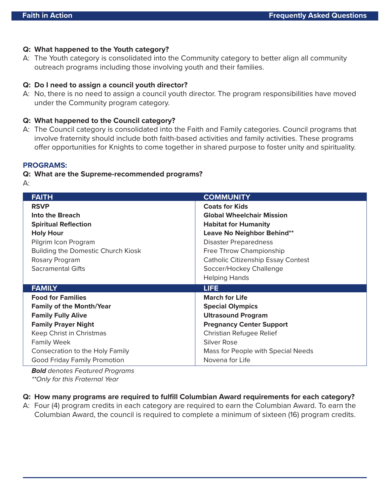# **Q: What happened to the Youth category?**

A: The Youth category is consolidated into the Community category to better align all community outreach programs including those involving youth and their families.

## **Q: Do I need to assign a council youth director?**

A: No, there is no need to assign a council youth director. The program responsibilities have moved under the Community program category.

## **Q: What happened to the Council category?**

A: The Council category is consolidated into the Faith and Family categories. Council programs that involve fraternity should include both faith-based activities and family activities. These programs offer opportunities for Knights to come together in shared purpose to foster unity and spirituality.

#### **PROGRAMS:**

#### **Q: What are the Supreme-recommended programs?**

| . .    |  |
|--------|--|
|        |  |
|        |  |
| $\sim$ |  |

| <b>FAITH</b>                        | <b>COMMUNITY</b>                          |  |  |
|-------------------------------------|-------------------------------------------|--|--|
| <b>RSVP</b>                         | <b>Coats for Kids</b>                     |  |  |
| Into the Breach                     | <b>Global Wheelchair Mission</b>          |  |  |
| <b>Spiritual Reflection</b>         | <b>Habitat for Humanity</b>               |  |  |
| <b>Holy Hour</b>                    | Leave No Neighbor Behind**                |  |  |
| Pilgrim Icon Program                | <b>Disaster Preparedness</b>              |  |  |
| Building the Domestic Church Kiosk  | Free Throw Championship                   |  |  |
| Rosary Program                      | <b>Catholic Citizenship Essay Contest</b> |  |  |
| <b>Sacramental Gifts</b>            | Soccer/Hockey Challenge                   |  |  |
|                                     | <b>Helping Hands</b>                      |  |  |
| <b>FAMILY</b>                       | <b>LIFE</b>                               |  |  |
| <b>Food for Families</b>            | <b>March for Life</b>                     |  |  |
| <b>Family of the Month/Year</b>     | <b>Special Olympics</b>                   |  |  |
| <b>Family Fully Alive</b>           | <b>Ultrasound Program</b>                 |  |  |
| <b>Family Prayer Night</b>          | <b>Pregnancy Center Support</b>           |  |  |
| Keep Christ in Christmas            | Christian Refugee Relief                  |  |  |
| <b>Family Week</b>                  | <b>Silver Rose</b>                        |  |  |
| Consecration to the Holy Family     | Mass for People with Special Needs        |  |  |
| <b>Good Friday Family Promotion</b> | Novena for Life                           |  |  |

**Bold** denotes Featured Programs \*\*Only for this Fraternal Year

- **Q: How many programs are required to fulfill Columbian Award requirements for each category?**
- A: Four (4) program credits in each category are required to earn the Columbian Award. To earn the Columbian Award, the council is required to complete a minimum of sixteen (16) program credits.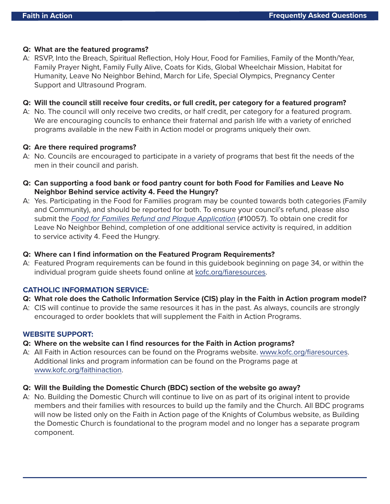# **Q: What are the featured programs?**

A: RSVP, Into the Breach, Spiritual Reflection, Holy Hour, Food for Families, Family of the Month/Year, Family Prayer Night, Family Fully Alive, Coats for Kids, Global Wheelchair Mission, Habitat for Humanity, Leave No Neighbor Behind, March for Life, Special Olympics, Pregnancy Center Support and Ultrasound Program.

## **Q: Will the council still receive four credits, or full credit, per category for a featured program?**

A: No. The council will only receive two credits, or half credit, per category for a featured program. We are encouraging councils to enhance their fraternal and parish life with a variety of enriched programs available in the new Faith in Action model or programs uniquely their own.

#### **Q: Are there required programs?**

- A: No. Councils are encouraged to participate in a variety of programs that best fit the needs of the men in their council and parish.
- **Q: Can supporting a food bank or food pantry count for both Food for Families and Leave No Neighbor Behind service activity 4. Feed the Hungry?**
- A: Yes. Participating in the Food for Families program may be counted towards both categories (Family and Community), and should be reported for both. To ensure your council's refund, please also submit the [Food for Families Refund and Plaque Application](https://www.kofc.org/en/resources/programs/food-for-families/10057-food-for-families-report-form.pdf) (#10057). To obtain one credit for Leave No Neighbor Behind, completion of one additional service activity is required, in addition to service activity 4. Feed the Hungry.

## **Q: Where can I find information on the Featured Program Requirements?**

A: Featured Program requirements can be found in this guidebook beginning on page 34, or within the individual program guide sheets found online at [kofc.org/fiaresources.](https://www.kofc.org/en/what-we-do/faith-in-action-programs/resources/index.html?1tab=1tab0)

# **CATHOLIC INFORMATION SERVICE:**

- **Q: What role does the Catholic Information Service (CIS) play in the Faith in Action program model?**
- A: CIS will continue to provide the same resources it has in the past. As always, councils are strongly encouraged to order booklets that will supplement the Faith in Action Programs.

#### **WEBSITE SUPPORT:**

- **Q: Where on the website can I find resources for the Faith in Action programs?**
- A: All Faith in Action resources can be found on the Programs website. [www.kofc.org/fiaresources.](https://www.kofc.org/en/what-we-do/faith-in-action-programs/resources/index.html?1tab=1tab0) Additional links and program information can be found on the Programs page at [www.kofc.org/faithinaction.](http://www.kofc.org/faithinaction)

#### **Q: Will the Building the Domestic Church (BDC) section of the website go away?**

A: No. Building the Domestic Church will continue to live on as part of its original intent to provide members and their families with resources to build up the family and the Church. All BDC programs will now be listed only on the Faith in Action page of the Knights of Columbus website, as Building the Domestic Church is foundational to the program model and no longer has a separate program component.